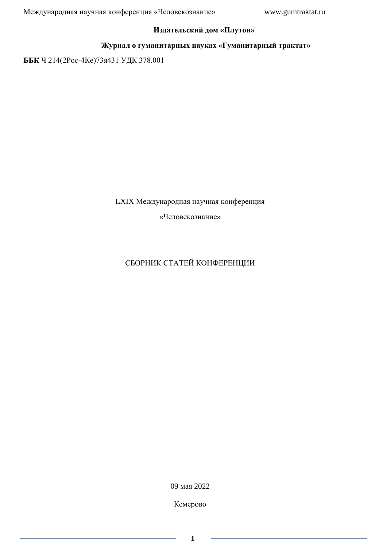## **Издательский дом «Плутон»**

## **Журнал о гуманитарных науках «Гуманитарный трактат»**

**ББК** Ч 214(2Рос-4Ке)73я431 УДК 378.001

LXIX Международная научная конференция

«Человекознание»

# СБОРНИК СТАТЕЙ КОНФЕРЕНЦИИ

09 мая 2022

Кемерово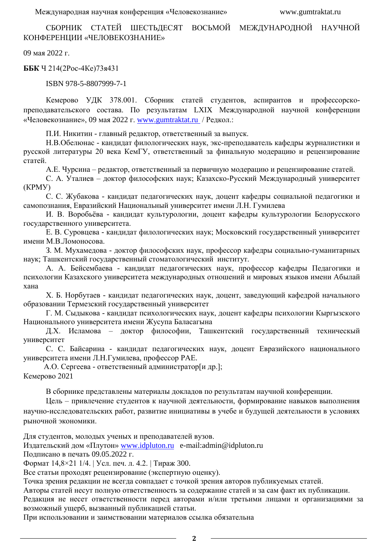СБОРНИК СТАТЕЙ ШЕСТЬДЕСЯТ ВОСЬМОЙ МЕЖДУНАРОДНОЙ НАУЧНОЙ КОНФЕРЕНЦИИ «ЧЕЛОВЕКОЗНАНИЕ»

09 мая 2022 г.

**ББК** Ч 214(2Рос-4Ке)73я431

ISBN 978-5-8807999-7-1

Кемерово УДК 378.001. Сборник статей студентов, аспирантов и профессорскопреподавательского состава. По результатам LXIX Международной научной конференции «Человекознание», 09 мая 2022 г. [www.gumtraktat.ru](http://www.gumtraktat.ru/) / Редкол.:

П.И. Никитин - главный редактор, ответственный за выпуск.

Н.В.Обелюнас - кандидат филологических наук, экс-преподаватель кафедры журналистики и русской литературы 20 века КемГУ, ответственный за финальную модерацию и рецензирование статей.

А.Е. Чурсина – редактор, ответственный за первичную модерацию и рецензирование статей.

С. А. Уталиев – доктор философских наук; Казахско-Русский Международный университет (КРМУ)

С. С. Жубакова - кандидат педагогических наук, доцент кафедры социальной педагогики и самопознания, Евразийский Национальный университет имени Л.Н. Гумилева

И. В. Воробьёва - кандидат культурологии, доцент кафедры культурологии Белорусского государственного университета.

Е. В. Суровцева - кандидат филологических наук; Московский государственный университет имени М.В.Ломоносова.

З. М. Мухамедова - доктор философских наук, профессор кафедры социально-гуманитарных наук; Ташкентский государственный стоматологический институт.

А. А. Бейсембаева - кандидат педагогических наук, профессор кафедры Педагогики и психологии Казахского университета международных отношений и мировых языков имени Абылай хана

Х. Б. Норбутаев - кандидат педагогических наук, доцент, заведующий кафедрой начального образовании Термезский государственный университет

Г. М. Сыдыкова - кандидат психологических наук, доцент кафедры психологии Кыргызского Национального университета имени Жусупа Баласагына

Д.Х. Исламова – доктор философии, Ташкентский государственный техническый университет

С. С. Байсарина - кандидат педагогических наук, доцент Евразийского национального университета имени Л.Н.Гумилева, профессор РАЕ.

А.О. Сергеева - ответственный администратор[и др.]; Кемерово 2021

В сборнике представлены материалы докладов по результатам научной конференции.

Цель – привлечение студентов к научной деятельности, формирование навыков выполнения научно-исследовательских работ, развитие инициативы в учебе и будущей деятельности в условиях рыночной экономики.

Для студентов, молодых ученых и преподавателей вузов.

Издательский дом «Плутон» [www.idpluton.ru](http://www.idpluton.ru/) e-mail:admin@idpluton.ru

Подписано в печать 09.05.2022 г.

Формат 14,8×21 1/4. | Усл. печ. л. 4.2. | Тираж 300.

Все статьи проходят рецензирование (экспертную оценку).

Точка зрения редакции не всегда совпадает с точкой зрения авторов публикуемых статей.

Авторы статей несут полную ответственность за содержание статей и за сам факт их публикации.

Редакция не несет ответственности перед авторами и/или третьими лицами и организациями за возможный ущерб, вызванный публикацией статьи.

При использовании и заимствовании материалов ссылка обязательна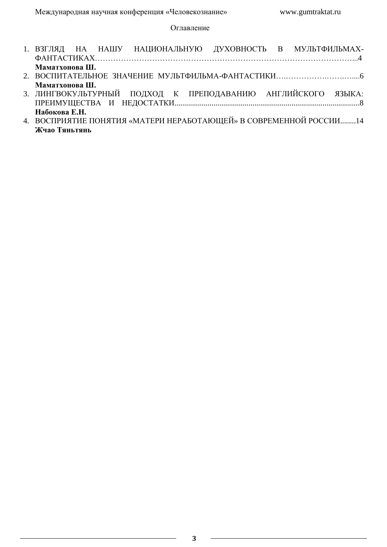## Оглавление

| 1. ВЗГЛЯД НА НАШУ НАЦИОНАЛЬНУЮ ДУХОВНОСТЬ В МУЛЬТФИЛЬМАХ-          |
|--------------------------------------------------------------------|
| Маматхонова Ш.                                                     |
|                                                                    |
| Маматхонова Ш.                                                     |
| 3. ЛИНГВОКУЛЬТУРНЫЙ ПОДХОД К ПРЕПОДАВАНИЮ АНГЛИЙСКОГО ЯЗЫКА:       |
|                                                                    |
| Набокова Е.Н.                                                      |
| 4. ВОСПРИЯТИЕ ПОНЯТИЯ «МАТЕРИ НЕРАБОТАЮЩЕЙ» В СОВРЕМЕННОЙ РОССИИ14 |
| Жчао Тяньтянь                                                      |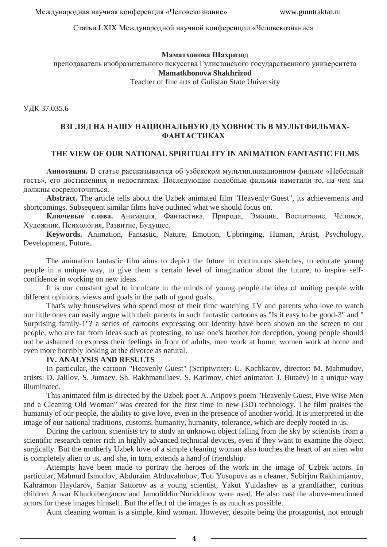Статьи LXIX Международной научной конференции «Человекознание»

#### **Маматхонова Шахризо**д

преподаватель изобразительного искусства Гулистанского государственного университета **Mamatkhonova Shakhrizod**

Teacher of fine arts of Gulistan State University

УДК 37.035.6

## **ВЗГЛЯД НА НАШУ НАЦИОНАЛЬНУЮ ДУХОВНОСТЬ В МУЛЬТФИЛЬМАХ-ФАНТАСТИКАХ**

## **THE VIEW OF OUR NATIONAL SPIRITUALITY IN ANIMATION FANTASTIC FILMS**

**Аннотация.** В статье рассказывается об узбекском мультипликационном фильме «Небесный гость», его достижениях и недостатках. Последующие подобные фильмы наметили то, на чем мы должны сосредоточиться.

**Abstract.** The article tells about the Uzbek animated film "Heavenly Guest", its achievements and shortcomings. Subsequent similar films have outlined what we should focus on.

**Ключевые слова.** Анимация, Фантастика, Природа, Эмоция, Воспитание, Человек, Художник, Психология, Развитие, Будущее.

**Keywords.** Animation, Fantastic, Nature, Emotion, Upbringing, Human, Artist, Psychology, Development, Future.

The animation fantastic film aims to depict the future in continuous sketches, to educate young people in a unique way, to give them a certain level of imagination about the future, to inspire selfconfidence in working on new ideas.

It is our constant goal to inculcate in the minds of young people the idea of uniting people with different opinions, views and goals in the path of good goals.

That's why housewives who spend most of their time watching TV and parents who love to watch our little ones can easily argue with their parents in such fantastic cartoons as "Is it easy to be good-3" and " Surprising family-1"? a series of cartoons expressing our identity have been shown on the screen to our people, who are far from ideas such as protesting, to use one's brother for deception, young people should not be ashamed to express their feelings in front of adults, men work at home, women work at home and even more horribly looking at the divorce as natural.

#### **IV. ANALYSIS AND RESULTS**

In particular, the cartoon "Heavenly Guest" (Scriptwriter: U. Kochkarov, director: M. Mahmudov, artists: D. Jalilov, S. Jumaev, Sh. Rakhmatullaev, S. Karimov, chief animator: J. Butaev) in a unique way illuminated.

This animated film is directed by the Uzbek poet A. Aripov's poem "Heavenly Guest, Five Wise Men and a Cleaning Old Woman" was created for the first time in new (3D) technology. The film praises the humanity of our people, the ability to give love, even in the presence of another world. It is interpreted in the image of our national traditions, customs, humanity, humanity, tolerance, which are deeply rooted in us.

During the cartoon, scientists try to study an unknown object falling from the sky by scientists from a scientific research center rich in highly advanced technical devices, even if they want to examine the object surgically. But the motherly Uzbek love of a simple cleaning woman also touches the heart of an alien who is completely alien to us, and she, in turn, extends a hand of friendship.

Attempts have been made to portray the heroes of the work in the image of Uzbek actors. In particular, Mahmud Ismoilov, Abduraim Abduvahobov, Toti Yusupova as a cleaner, Sobirjon Rakhimjanov, Kahramon Haydarov, Sanjar Sattorov as a young scientist, Yakut Yuldashev as a grandfather, curious children Anvar Khudoiberganov and Jamoliddin Nuriddinov were used. He also cast the above-mentioned actors for these images himself. But the effect of the images is as much as possible.

Aunt cleaning woman is a simple, kind woman. However, despite being the protagonist, not enough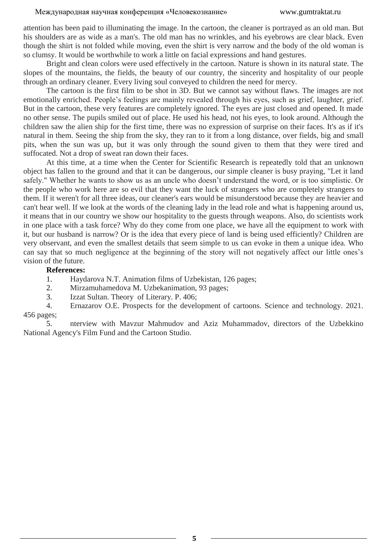attention has been paid to illuminating the image. In the cartoon, the cleaner is portrayed as an old man. But his shoulders are as wide as a man's. The old man has no wrinkles, and his eyebrows are clear black. Even though the shirt is not folded while moving, even the shirt is very narrow and the body of the old woman is so clumsy. It would be worthwhile to work a little on facial expressions and hand gestures.

Bright and clean colors were used effectively in the cartoon. Nature is shown in its natural state. The slopes of the mountains, the fields, the beauty of our country, the sincerity and hospitality of our people through an ordinary cleaner. Every living soul conveyed to children the need for mercy.

The cartoon is the first film to be shot in 3D. But we cannot say without flaws. The images are not emotionally enriched. People's feelings are mainly revealed through his eyes, such as grief, laughter, grief. But in the cartoon, these very features are completely ignored. The eyes are just closed and opened. It made no other sense. The pupils smiled out of place. He used his head, not his eyes, to look around. Although the children saw the alien ship for the first time, there was no expression of surprise on their faces. It's as if it's natural in them. Seeing the ship from the sky, they ran to it from a long distance, over fields, big and small pits, when the sun was up, but it was only through the sound given to them that they were tired and suffocated. Not a drop of sweat ran down their faces.

At this time, at a time when the Center for Scientific Research is repeatedly told that an unknown object has fallen to the ground and that it can be dangerous, our simple cleaner is busy praying, "Let it land safely." Whether he wants to show us as an uncle who doesn't understand the word, or is too simplistic. Or the people who work here are so evil that they want the luck of strangers who are completely strangers to them. If it weren't for all three ideas, our cleaner's ears would be misunderstood because they are heavier and can't hear well. If we look at the words of the cleaning lady in the lead role and what is happening around us, it means that in our country we show our hospitality to the guests through weapons. Also, do scientists work in one place with a task force? Why do they come from one place, we have all the equipment to work with it, but our husband is narrow? Or is the idea that every piece of land is being used efficiently? Children are very observant, and even the smallest details that seem simple to us can evoke in them a unique idea. Who can say that so much negligence at the beginning of the story will not negatively affect our little ones's vision of the future.

#### **References:**

- 1. Haydarova N.T. Animation films of Uzbekistan, 126 pages;
- 2. Mirzamuhamedova M. Uzbekanimation, 93 pages;
- 3. Izzat Sultan. Theory of Literary. P. 406;
- 4. Ernazarov O.E. Prospects for the development of cartoons. Science and technology. 2021. 456 pages;

5. nterview with Mavzur Mahmudov and Aziz Muhammadov, directors of the Uzbekkino National Agency's Film Fund and the Cartoon Studio.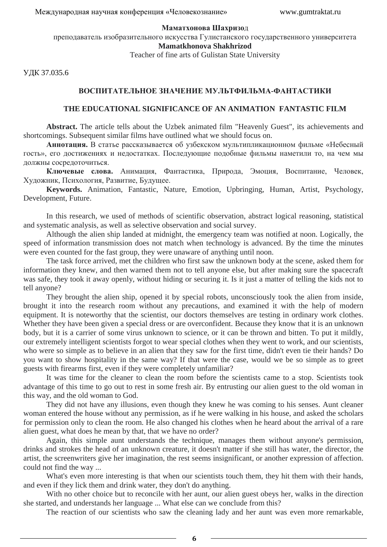#### **Маматхонова Шахризо**д

преподаватель изобразительного искусства Гулистанского государственного университета **Mamatkhonova Shakhrizod**

Teacher of fine arts of Gulistan State University

УДК 37.035.6

#### **ВОСПИТАТЕЛЬНОЕ ЗНАЧЕНИЕ МУЛЬТФИЛЬМА-ФАНТАСТИКИ**

#### **THE EDUCATIONAL SIGNIFICANCE OF AN ANIMATION FANTASTIC FILM**

**Abstract.** The article tells about the Uzbek animated film "Heavenly Guest", its achievements and shortcomings. Subsequent similar films have outlined what we should focus on.

**Аннотация.** В статье рассказывается об узбекском мультипликационном фильме «Небесный гость», его достижениях и недостатках. Последующие подобные фильмы наметили то, на чем мы должны сосредоточиться.

**Ключевые слова.** Анимация, Фантастика, Природа, Эмоция, Воспитание, Человек, Художник, Психология, Развитие, Будущее.

**Keywords.** Animation, Fantastic, Nature, Emotion, Upbringing, Human, Artist, Psychology, Development, Future.

In this research, we used of methods of scientific observation, abstract logical reasoning, statistical and systematic analysis, as well as selective observation and social survey.

Although the alien ship landed at midnight, the emergency team was notified at noon. Logically, the speed of information transmission does not match when technology is advanced. By the time the minutes were even counted for the fast group, they were unaware of anything until noon.

The task force arrived, met the children who first saw the unknown body at the scene, asked them for information they knew, and then warned them not to tell anyone else, but after making sure the spacecraft was safe, they took it away openly, without hiding or securing it. Is it just a matter of telling the kids not to tell anyone?

They brought the alien ship, opened it by special robots, unconsciously took the alien from inside, brought it into the research room without any precautions, and examined it with the help of modern equipment. It is noteworthy that the scientist, our doctors themselves are testing in ordinary work clothes. Whether they have been given a special dress or are overconfident. Because they know that it is an unknown body, but it is a carrier of some virus unknown to science, or it can be thrown and bitten. To put it mildly, our extremely intelligent scientists forgot to wear special clothes when they went to work, and our scientists, who were so simple as to believe in an alien that they saw for the first time, didn't even tie their hands? Do you want to show hospitality in the same way? If that were the case, would we be so simple as to greet guests with firearms first, even if they were completely unfamiliar?

It was time for the cleaner to clean the room before the scientists came to a stop. Scientists took advantage of this time to go out to rest in some fresh air. By entrusting our alien guest to the old woman in this way, and the old woman to God.

They did not have any illusions, even though they knew he was coming to his senses. Aunt cleaner woman entered the house without any permission, as if he were walking in his house, and asked the scholars for permission only to clean the room. He also changed his clothes when he heard about the arrival of a rare alien guest, what does he mean by that, that we have no order?

Again, this simple aunt understands the technique, manages them without anyone's permission, drinks and strokes the head of an unknown creature, it doesn't matter if she still has water, the director, the artist, the screenwriters give her imagination, the rest seems insignificant, or another expression of affection. could not find the way ...

What's even more interesting is that when our scientists touch them, they hit them with their hands, and even if they lick them and drink water, they don't do anything.

With no other choice but to reconcile with her aunt, our alien guest obeys her, walks in the direction she started, and understands her language ... What else can we conclude from this?

The reaction of our scientists who saw the cleaning lady and her aunt was even more remarkable,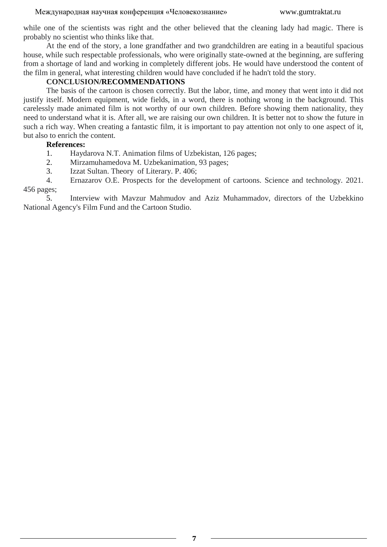while one of the scientists was right and the other believed that the cleaning lady had magic. There is probably no scientist who thinks like that.

At the end of the story, a lone grandfather and two grandchildren are eating in a beautiful spacious house, while such respectable professionals, who were originally state-owned at the beginning, are suffering from a shortage of land and working in completely different jobs. He would have understood the content of the film in general, what interesting children would have concluded if he hadn't told the story.

## **CONCLUSION/RECOMMENDATIONS**

The basis of the cartoon is chosen correctly. But the labor, time, and money that went into it did not justify itself. Modern equipment, wide fields, in a word, there is nothing wrong in the background. This carelessly made animated film is not worthy of our own children. Before showing them nationality, they need to understand what it is. After all, we are raising our own children. It is better not to show the future in such a rich way. When creating a fantastic film, it is important to pay attention not only to one aspect of it, but also to enrich the content.

## **References:**

1. Haydarova N.T. Animation films of Uzbekistan, 126 pages;

2. Mirzamuhamedova M. Uzbekanimation, 93 pages;

3. Izzat Sultan. Theory of Literary. P. 406;

4. Ernazarov O.E. Prospects for the development of cartoons. Science and technology. 2021. 456 pages;

5. Interview with Mavzur Mahmudov and Aziz Muhammadov, directors of the Uzbekkino National Agency's Film Fund and the Cartoon Studio.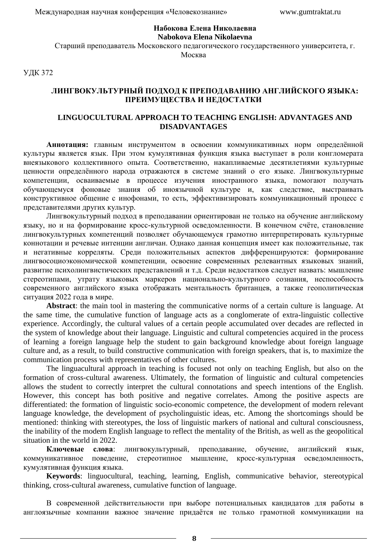#### **Набокова Елена Николаевна Nabokova Elena Nikolaevna**

Старший преподаватель Московского педагогического государственного университета, г. Москва

УДК 372

## **ЛИНГВОКУЛЬТУРНЫЙ ПОДХОД К ПРЕПОДАВАНИЮ АНГЛИЙСКОГО ЯЗЫКА: ПРЕИМУЩЕСТВА И НЕДОСТАТКИ**

## **LINGUOCULTURAL APPROACH TO TEACHING ENGLISH: ADVANTAGES AND DISADVANTAGES**

**Аннотация:** главным инструментом в освоении коммуникативных норм определённой культуры является язык. При этом кумулятивная функция языка выступает в роли конгломерата внеязыкового коллективного опыта. Соответственно, накапливаемые десятилетиями культурные ценности определённого народа отражаются в системе знаний о его языке. Лингвокультурные компетенции, осваиваемые в процессе изучения иностранного языка, помогают получать обучающемуся фоновые знания об иноязычной культуре и, как следствие, выстраивать конструктивное общение с инофонами, то есть, эффективизировать коммуникационный процесс с представителями других культур.

Лингвокультурный подход в преподавании ориентирован не только на обучение английскому языку, но и на формирование кросс-культурной осведомленности. В конечном счёте, становление лингвокультурных компетенций позволяет обучающемуся грамотно интерпретировать культурные коннотации и речевые интенции англичан. Однако данная концепция имеет как положительные, так и негативные корреляты. Среди положительных аспектов дифференцируются: формирование лингвосоциоэкономической компетенции, освоение современных релевантных языковых знаний, развитие психолингвистических представлений и т.д. Среди недостатков следует назвать: мышление стереотипами, утрату языковых маркеров национально-культурного сознания, неспособность современного английского языка отображать ментальность британцев, а также геополитическая ситуация 2022 года в мире.

**Abstract**: the main tool in mastering the communicative norms of a certain culture is language. At the same time, the cumulative function of language acts as a conglomerate of extra-linguistic collective experience. Accordingly, the cultural values of a certain people accumulated over decades are reflected in the system of knowledge about their language. Linguistic and cultural competencies acquired in the process of learning a foreign language help the student to gain background knowledge about foreign language culture and, as a result, to build constructive communication with foreign speakers, that is, to maximize the communication process with representatives of other cultures.

The linguacultural approach in teaching is focused not only on teaching English, but also on the formation of cross-cultural awareness. Ultimately, the formation of linguistic and cultural competencies allows the student to correctly interpret the cultural connotations and speech intentions of the English. However, this concept has both positive and negative correlates. Among the positive aspects are differentiated: the formation of linguistic socio-economic competence, the development of modern relevant language knowledge, the development of psycholinguistic ideas, etc. Among the shortcomings should be mentioned: thinking with stereotypes, the loss of linguistic markers of national and cultural consciousness, the inability of the modern English language to reflect the mentality of the British, as well as the geopolitical situation in the world in 2022.

**Ключевые слова**: лингвокультурный, преподавание, обучение, английский язык, коммуникативное поведение, стереотипное мышление, кросс-культурная осведомленность, кумулятивная функция языка.

**Keywords**: linguocultural, teaching, learning, English, communicative behavior, stereotypical thinking, cross-cultural awareness, cumulative function of language.

В современной действительности при выборе потенциальных кандидатов для работы в англоязычные компании важное значение придаётся не только грамотной коммуникации на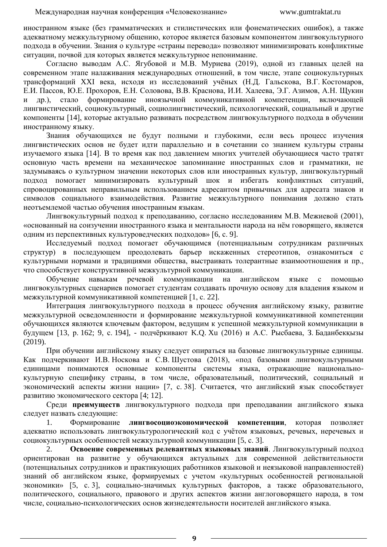иностранном языке (без грамматических и стилистических или фонематических ошибок), а также адекватному межкультурному общению, которое является базовым компонентом лингвокультурного подхода в обучении. Знания о культуре «страны перевода» позволяют минимизировать конфликтные ситуации, почвой для которых является межкультурное непонимание.

Согласно выводам А.С. Ягубовой и М.В. Муриева (2019), одной из главных целей на современном этапе налаживания международных отношений, в том числе, этапе социокультурных трансформаций XXI века, исходя из исследований учёных (Н.Д. Гальскова, В.Г. Костомаров, Е.И. Пассов, Ю.Е. Прохоров, Е.Н. Соловова, В.В. Краснова, И.И. Халеева, Э.Г. Азимов, А.Н. Щукин др.), стало формирование иноязычной коммуникативной компетенции, включающей лингвистический, социокультурный, социолингвистический, психологический, социальный и другие компоненты [\[14\]](#page-12-0), которые актуально развивать посредством лингвокультурного подхода в обучении иностранному языку.

Знания обучающихся не будут полными и глубокими, если весь процесс изучения лингвистических основ не будет идти параллельно и в сочетании со знанием культуры страны изучаемого языка [\[14\]](#page-12-0). В то время как под давлением многих учителей обучающиеся часто тратят основную часть времени на механическое запоминание иностранных слов и грамматики, не задумываясь о культурном значении некоторых слов или иностранных культур, лингвокультурный подход помогает минимизировать культурный шок и избегать конфликтных ситуаций, спровоцированных неправильным использованием адресантом привычных для адресата знаков и символов социального взаимодействия. Развитие межкультурного понимания должно стать неотъемлемой частью обучения иностранным языкам.

Лингвокультурный подход к преподаванию, согласно исследованиям М.В. Межиевой (2001), «основанный на соизучении иностранного языка и ментальности народа на нём говорящего, является одним из перспективных культуроведческих подходов» [\[6,](#page-11-0) с. 9].

Исследуемый подход помогает обучающимся (потенциальным сотрудникам различных структур) в последующем преодолевать барьер искаженных стереотипов, ознакомиться с культурными нормами и традициями общества, выстраивать толерантные взаимоотношения и пр., что способствует конструктивной межкультурной коммуникации.

Обучение навыкам речевой коммуникации на английском языке с помощью лингвокультурных сценариев помогает студентам создавать прочную основу для владения языком и межкультурной коммуникативной компетенцией [\[1,](#page-11-1) с. 22].

Интеграция лингвокультурного подхода в процесс обучения английскому языку, развитие межкультурной осведомленности и формирование межкультурной коммуникативной компетенции обучающихся являются ключевым фактором, ведущим к успешной межкультурной коммуникации в будущем [\[13,](#page-12-1) р. 162; [9,](#page-11-2) с. 194], - подчёркивают K.Q. Xu (2016) и А.С. Рысбаева, З. Баданбекқызы (2019).

При обучении английскому языку следует опираться на базовые лингвокультурные единицы. Как подчеркивают И.В. Носкова и С.В. Шустова (2018), «под базовыми лингвокультурными единицами понимаются основные компоненты системы языка, отражающие национальнокультурную специфику страны, в том числе, образовательный, политический, социальный и экономический аспекты жизни нации» [\[7,](#page-11-3) с. 38]. Считается, что английский язык способствует развитию экономического сектора [\[4;](#page-11-4) [12\]](#page-12-2).

Среди **преимуществ** лингвокультурного подхода при преподавании английского языка следует назвать следующие:

1. Формирование **лингвосоциоэкономической компетенции**, которая позволяет адекватно использовать лингвокультурологический код с учётом языковых, речевых, неречевых и социокультурных особенностей межкультурной коммуникации [\[5,](#page-11-5) с. 3].

2. **Освоение современных релевантных языковых знаний**. Лингвокультурный подход ориентирован на развитие у обучающихся актуальных для современной действительности (потенциальных сотрудников и практикующих работников языковой и неязыковой направленностей) знаний об английском языке, формируемых с учетом «культурных особенностей региональной экономики» [\[5,](#page-11-5) с. 3], социально-значимых культурных факторов, а также образовательного, политического, социального, правового и других аспектов жизни англоговорящего народа, в том числе, социально-психологических основ жизнедеятельности носителей английского языка.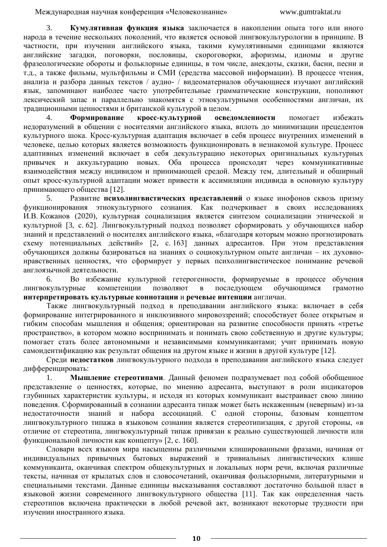3. **Кумулятивная функция языка** заключается в накоплении опыта того или иного народа в течение нескольких поколений, что является основой лингвокультурологии в принципе. В частности, при изучении английского языка, такими кумулятивными единицами являются английские загадки, поговорки, пословицы, скороговорки, афоризмы, идиомы и другие фразеологические обороты и фольклорные единицы, в том числе, анекдоты, сказки, басни, песни и т.д., а также фильмы, мультфильмы и СМИ (средства массовой информации). В процессе чтения, анализа и разбора данных текстов / аудио- / видеоматериалов обучающиеся изучают английский язык, запоминают наиболее часто употребительные грамматические конструкции, пополняют лексический запас и параллельно знакомятся с этнокультурными особенностями англичан, их традиционными ценностями и британской культурой в целом.

4. **Формирование кросс-культурной осведомленности** помогает избежать недоразумений в общении с носителями английского языка, вплоть до минимизации прецедентов культурного шока. Кросс-культурная адаптация включает в себя процесс внутренних изменений в человеке, целью которых является возможность функционировать в незнакомой культуре. Процесс адаптивных изменений включает в себя декультурацию некоторых оригинальных культурных привычек и аккультурацию новых. Оба процесса происходят через коммуникативные взаимодействия между индивидом и принимающей средой. Между тем, длительный и обширный опыт кросс-культурной адаптации может привести к ассимиляции индивида в основную культуру принимающего общества [\[12\]](#page-12-2).

5. Развитие **психолингвистических представлений** о языке инофонов сквозь призму функционирования этнокультурного сознания. Как подчеркивает в своих исследованиях И.В. Кожанов (2020), культурная социализация является синтезом социализации этнической и культурной [\[3,](#page-11-6) с. 62]. Лингвокультурный подход позволяет сформировать у обучающихся набор знаний и представлений о носителях английского языка, «благодаря которым можно прогнозировать схему потенциальных действий» [\[2,](#page-11-7) с. 163] данных адресантов. При этом представления обучающихся должны базироваться на знаниях о социокультурном опыте англичан – их духовнонравственных ценностях, что сформирует у первых психолингвистическое понимание речевой англоязычной деятельности.

6. Во избежание культурной гетерогенности, формируемые в процессе обучения лингвокультурные компетенции позволяют в последующем обучающимся грамотно **интерпретировать культурные коннотации** и **речевые интенции** англичан.

Также лингвокультурный подход в преподавании английского языка: включает в себя формирование интегрированного и инклюзивного мировоззрений; способствует более открытым и гибким способам мышления и общения; ориентирован на развитие способности принять «третье пространство», в котором можно воспринимать и понимать свою собственную и другие культуры; помогает стать более автономными и независимыми коммуникантами; учит принимать новую самоидентификацию как результат общения на другом языке и жизни в другой культуре [\[12\]](#page-12-2).

Среди **недостатков** лингвокультурного подхода в преподавании английского языка следует дифференцировать:

1. **Мышление стереотипами**. Данный феномен подразумевает под собой обобщенное представление о ценностях, которые, по мнению адресанта, выступают в роли индикаторов глубинных характеристик культуры, и исходя из которых коммуникант выстраивает свою линию поведения. Сформированный в сознании адресанта типаж может быть искаженным (неверным) из-за недостаточности знаний и набора ассоциаций. С одной стороны, базовым концептом лингвокультурного типажа в языковом сознании является стереотипизация, с другой стороны, «в отличие от стереотипа, лингвокультурный типаж привязан к реально существующей личности или функциональной личности как концепту» [\[2,](#page-11-7) с. 160].

Словари всех языков мира насыщенны различными клишированными фразами, начиная от индивидуальных привычных бытовых выражений и тривиальных лингвистических клише коммуниканта, оканчивая спектром общекультурных и локальных норм речи, включая различные тексты, начиная от крылатых слов и словосочетаний, оканчивая фольклорными, литературными и специальными текстами. Данные единицы высказывания составляют достаточно большой пласт в языковой жизни современного лингвокультурного общества [\[11\]](#page-12-3). Так как определенная часть стереотипов включена практически в любой речевой акт, возникают некоторые трудности при изучении иностранного языка.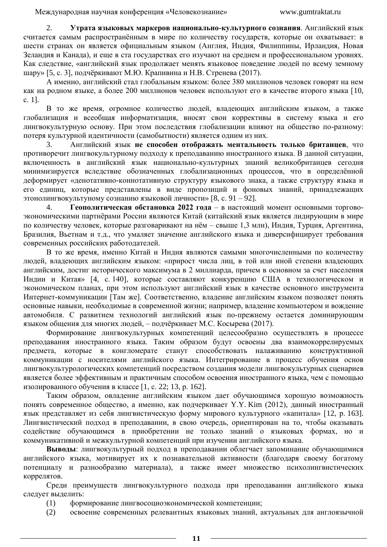2. **Утрата языковых маркеров национально-культурного сознания**. Английский язык считается самым распространённым в мире по количеству государств, которые он охватывает: в шести странах он является официальным языком (Англия, Индия, Филиппины, Ирландия, Новая Зеландия и Канада), и еще в ста государствах его изучают на среднем и профессиональном уровнях. Как следствие, «английский язык продолжает менять языковое поведение людей по всему земному шару» [\[5,](#page-11-5) с. 3], подчёркивают М.Ю. Крапивина и Н.В. Стренева (2017).

А именно, английский стал глобальным языком: более 380 миллионов человек говорят на нем как на родном языке, а более 200 миллионов человек используют его в качестве второго языка [\[10,](#page-11-8) с. 1].

В то же время, огромное количество людей, владеющих английским языком, а также глобализация и всеобщая информатизация, вносят свои коррективы в систему языка и его лингвокультурную основу. При этом последствия глобализации влияют на общество по-разному: потеря культурной идентичности (самобытности) является одним из них.

3. Английский язык **не способен отображать ментальность только британцев**, что противоречит лингвокультурному подходу к преподаванию иностранного языка. В данной ситуации, включенность в английский язык национально-культурных знаний великобританцев сегодня минимизируется вследствие обозначенных глобализационных процессов, что в определённой деформирует «денотативно-коннотативную структуру языкового знака, а также структуру языка и его единиц, которые представлены в виде пропозиций и фоновых знаний, принадлежащих этонолингвокультуному сознанию языковой личности» [\[8,](#page-11-9) с. 91 – 92].

4. **Геополитическая обстановка 2022 года** – в настоящий момент основными торговоэкономическими партнёрами России являются Китай (китайский язык является лидирующим в мире по количеству человек, которые разговаривают на нём – свыше 1,3 млн), Индия, Турция, Аргентина, Бразилия, Вьетнам и т.д., что умаляет значение английского языка и диверсифицирует требования современных российских работодателей.

В то же время, именно Китай и Индия являются самыми многочисленными по количеству людей, владеющих английским языком: «прирост числа лиц, в той или иной степени владеющих английским, достиг исторического максимума в 2 миллиарда, причем в основном за счет населения Индии и Китая» [\[4,](#page-11-4) с. 140], которые составляют конкуренцию США в технологическом и экономическом планах, при этом используют английский язык в качестве основного инструмента Интернет-коммуникации [Там же]. Соответственно, владение английским языком позволяет понять основные навыки, необходимые в современной жизни; например, владение компьютером и вождение автомобиля. С развитием технологий английский язык по-прежнему остается доминирующим языком общения для многих людей, – подчёркивает М.С. Косырева (2017).

Формирование лингвокультурных компетенций целесообразно осуществлять в процессе преподавания иностранного языка. Таким образом будут освоены два взаимокоррелируемых предмета, которые в конгломерате станут способствовать налаживанию конструктивной коммуникации с носителями английского языка. Интегрирование в процесс обучения основ лингвокультурологических компетенций посредством создания модели лингвокультурных сценариев является более эффективным и практичным способом освоения иностранного языка, чем с помощью изолированного обучения в классе [\[1,](#page-11-1) с. 22; [13,](#page-12-1) р. 162].

Таким образом, овладение английским языком дает обучающимся хорошую возможность понять современное общество, а именно, как подчеркивает Y.Y. Kim (2012), данный иностранный язык представляет из себя лингвистическую форму мирового культурного «капитала» [\[12,](#page-12-2) р. 163]. Лингвистический подход в преподавании, в свою очередь, ориентирован на то, чтобы оказывать содействие обучающимся в приобретении не только знаний о языковых формах, но и коммуникативной и межкультурной компетенций при изучении английского языка.

**Выводы**: лингвокультурный подход в преподавании облегчает запоминание обучающимися английского языка, мотивирует их к познавательной активности (благодаря своему богатому потенциалу и разнообразию материала), а также имеет множество психолингвистических коррелятов.

Среди преимуществ лингвокультурного подхода при преподавании английского языка следует выделить:

- (1) формирование лингвосоциоэкономической компетенции;
- (2) освоение современных релевантных языковых знаний, актуальных для англоязычной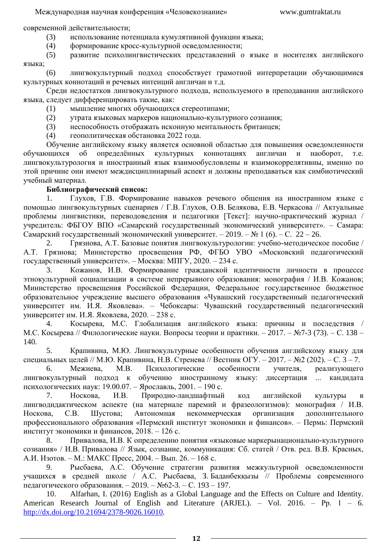современной действительности;

- (3) использование потенциала кумулятивной функции языка;
- (4) формирование кросс-культурной осведомленности;

(5) развитие психолингвистических представлений о языке и носителях английского языка;

(6) лингвокультурный подход способствует грамотной интерпретации обучающимися культурных коннотаций и речевых интенций англичан и т.д.

Среди недостатков лингвокультурного подхода, используемого в преподавании английского языка, следует дифференцировать такие, как:

- (1) мышление многих обучающихся стереотипами;
- (2) утрата языковых маркеров национально-культурного сознания;
- (3) неспособность отображать исконную ментальность британцев;
- (4) геополитическая обстановка 2022 года.

Обучение английскому языку является основной областью для повышения осведомленности обучающихся об определённых культурных коннотациях англичан и наоборот, т.е. лингвокультурология и иностранный язык взаимообусловлены и взаимокоррелятивны, именно по этой причине они имеют междисциплинарный аспект и должны преподаваться как симбиотический учебный материал.

## **Библиографический список:**

<span id="page-11-1"></span>1. Глухов, Г.В. Формирование навыков речевого общения на иностранном языке с помощью лингвокультурных сценариев / Г.В. Глухов, О.В. Белякова, Е.В. Черкасова // Актуальные проблемы лингвистики, переводоведения и педагогики [Текст]: научно-практический журнал / учредитель: ФБГОУ ВПО «Самарский государственный экономический университет». – Самара: Самарский государственный экономический университет. – 2019. – № 1 (6). – С. 22 – 26.

<span id="page-11-7"></span>2. Грязнова, А.Т. Базовые понятия лингвокультурологии: учебно-методическое пособие / А.Т. Грязнова; Министерство просвещения РФ, ФГБО УВО «Московский педагогический государственный университет». – Москва: МПГУ, 2020. – 234 с.

<span id="page-11-6"></span>3. Кожанов, И.В. Формирование гражданской идентичности личности в процессе этнокультурной социализации в системе непрерывного образования: монография / И.В. Кожанов; Министерство просвещения Российской Федерации, Федеральное государственное бюджетное образовательное учреждение высшего образования «Чувашский государственный педагогический университет им. И.Я. Яковлева». – Чебоксары: Чувашский государственный педагогический университет им. И.Я. Яковлева, 2020. – 238 с.

<span id="page-11-4"></span>4. Косырева, М.С. Глобализация английского языка: причины и последствия / М.С. Косырева // Филологические науки. Вопросы теории и практики. – 2017. – №7-3 (73). – С. 138 – 140.

<span id="page-11-5"></span>5. Крапивина, М.Ю. Лингвокультурные особенности обучения английскому языку для специальных целей // М.Ю. Крапивина, Н.В. Стренева // Вестник ОГУ. – 2017. – №2 (202). – С. 3 – 7.

<span id="page-11-0"></span>6. Межиева, М.В. Психологические особенности учителя, реализующего лингвокультурный подход к обучению иностранному языку: диссертация ... кандидата психологических наук: 19.00.07. – Ярославль, 2001. – 190 с.

<span id="page-11-3"></span>7. Носкова, И.В. Природно-ландшафтный код английской культуры в лингводидактическом аспекте (на материале паремий и фразеологизмов): монография / И.В. Носкова, С.В. Шустова; Автономная некоммерческая организация дополнительного профессионального образования «Пермский институт экономики и финансов». – Пермь: Пермский институт экономики и финансов, 2018. – 126 с.

<span id="page-11-9"></span>8. Привалова, И.В. К определению понятия «языковые маркерынационально-культурного сознания» / И.В. Привалова // Язык, сознание, коммуникация: Сб. статей / Отв. ред. В.В. Красных, А.И. Изотов. – М.: МАКС Пресс, 2004. – Вып. 26. – 168 с.

<span id="page-11-2"></span>9. Рысбаева, А.С. Обучение стратегии развития межкультурной осведомленности учащихся в средней школе / А.С. Рысбаева, З. Баданбекқызы // Проблемы современного педагогического образования. – 2019. – №62-3. – С. 193 – 197.

<span id="page-11-8"></span>10. Alfarhan, I. (2016) English as a Global Language and the Effects on Culture and Identity. American Research Journal of English and Literature (ARJEL). – Vol. 2016. – Рр. 1 – 6. [http://dx.doi.org/10.21694/2378-9026.16010.](http://dx.doi.org/10.21694/2378-9026.16010)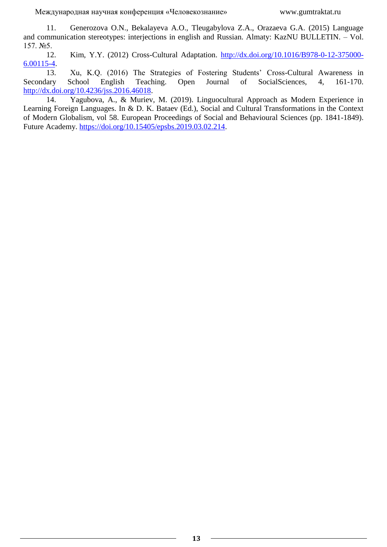<span id="page-12-3"></span>11. Generozova O.N., Bekalayeva A.O., Tleugabylova Z.A., Orazaeva G.A. (2015) Language and communication stereotypes: interjections in english and Russian. Almaty: KazNU BULLETIN. – Vol. 157. №5.

<span id="page-12-2"></span>12. Kim, Y.Y. (2012) Cross-Cultural Adaptation. [http://dx.doi.org/10.1016/B978-0-12-375000-](http://dx.doi.org/10.1016/B978-0-12-375000-6.00115-4) [6.00115-4.](http://dx.doi.org/10.1016/B978-0-12-375000-6.00115-4)

<span id="page-12-1"></span>13. Xu, K.Q. (2016) The Strategies of Fostering Students' Cross-Cultural Awareness in Secondary School English Teaching. Open Journal of SocialSciences, 4, 161-170. [http://dx.doi.org/10.4236/jss.2016.46018.](http://dx.doi.org/10.4236/jss.2016.46018)

<span id="page-12-0"></span>14. Yagubova, A., & Muriev, M. (2019). Linguocultural Approach as Modern Experience in Learning Foreign Languages. In & D. K. Bataev (Ed.), Social and Cultural Transformations in the Context of Modern Globalism, vol 58. European Proceedings of Social and Behavioural Sciences (pp. 1841-1849). Future Academy. [https://doi.org/10.15405/epsbs.2019.03.02.214.](https://doi.org/10.15405/epsbs.2019.03.02.214)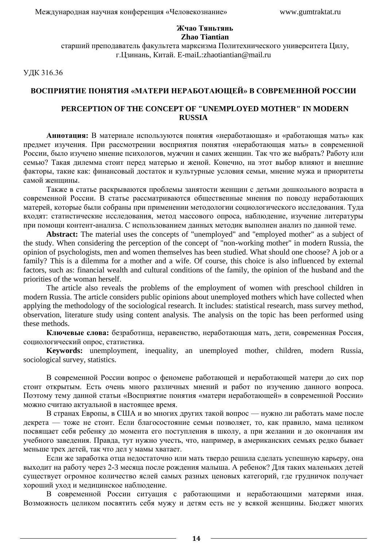### **Жчао Тяньтянь Zhao Tiantian**

старший преподаватель факультета марксизма Политехнического университета Цилу, г.Цзинань, Китай. E-maiL:zhaotiantian@mail.ru

УДК 316.36

## **ВОСПРИЯТИЕ ПОНЯТИЯ «МАТЕРИ НЕРАБОТАЮЩЕЙ» В СОВРЕМЕННОЙ РОССИИ**

## **PERCEPTION OF THE CONCEPT OF "UNEMPLOYED MOTHER" IN MODERN RUSSIA**

**Аннотация:** В материале используются понятия «неработающая» и «работающая мать» как предмет изучения. При рассмотрении восприятия понятия «неработающая мать» в современной России, было изучено мнение психологов, мужчин и самих женщин. Так что же выбрать? Работу или семью? Такая дилемма стоит перед матерью и женой. Конечно, на этот выбор влияют и внешние факторы, такие как: финансовый достаток и культурные условия семьи, мнение мужа и приоритеты самой женщины.

Также в статье раскрываются проблемы занятости женщин с детьми дошкольного возраста в современной России. В статье рассматриваются общественные мнения по поводу неработающих матерей, которые были собраны при применении методологии социологического исследования. Туда входят: статистические исследования, метод массового опроса, наблюдение, изучение литературы при помощи контент-анализа. С использованием данных методик выполнен анализ по данной теме.

**Abstract:** The material uses the concepts of "unemployed" and "employed mother" as a subject of the study. When considering the perception of the concept of "non-working mother" in modern Russia, the opinion of psychologists, men and women themselves has been studied. What should one choose? A job or a family? This is a dilemma for a mother and a wife. Of course, this choice is also influenced by external factors, such as: financial wealth and cultural conditions of the family, the opinion of the husband and the priorities of the woman herself.

The article also reveals the problems of the employment of women with preschool children in modern Russia. The article considers public opinions about unemployed mothers which have collected when applying the methodology of the sociological research. It includes: statistical research, mass survey method, observation, literature study using content analysis. The analysis on the topic has been performed using these methods.

**Ключевые слова:** безработица, неравенство, неработающая мать, дети, современная Россия, социологический опрос, статистика.

**Keywords:** unemployment, inequality, an unemployed mother, children, modern Russia, sociological survey, statistics.

В современной России вопрос о феномене работающей и неработающей матери до сих пор стоит открытым. Есть очень много различных мнений и работ по изучению данного вопроса. Поэтому тему данной статьи «Восприятие понятия «матери неработающей» в современной России» можно считаю актуальной в настоящее время.

В странах Европы, в США и во многих других такой вопрос — нужно ли работать маме после декрета — тоже не стоит. Если благосостояние семьи позволяет, то, как правило, мама целиком посвящает себя ребенку до момента его поступления в школу, а при желании и до окончания им учебного заведения. Правда, тут нужно учесть, что, например, в американских семьях редко бывает меньше трех детей, так что дел у мамы хватает.

Если же заработка отца недостаточно или мать твердо решила сделать успешную карьеру, она выходит на работу через 2-3 месяца после рождения малыша. А ребенок? Для таких маленьких детей существует огромное количество яслей самых разных ценовых категорий, где грудничок получает хороший уход и медицинское наблюдение.

В современной России ситуация с работающими и неработающими матерями иная. Возможность целиком посвятить себя мужу и детям есть не у всякой женщины. Бюджет многих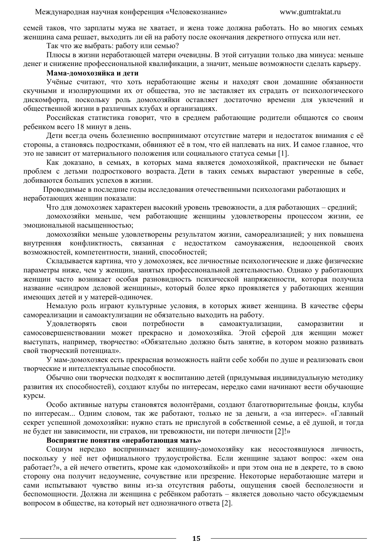семей таков, что зарплаты мужа не хватает, и жена тоже должна работать. Но во многих семьях женщина сама решает, выходить ли ей на работу после окончания декретного отпуска или нет.

Так что же выбрать: работу или семью?

Плюсы в жизни неработающей матери очевидны. В этой ситуации только два минуса: меньше денег и снижение профессиональной квалификации, а значит, меньше возможности сделать карьеру.

#### **Мама-домохозяйка и дети**

Учёные считают, что хоть неработающие жены и находят свои домашние обязанности скучными и изолирующими их от общества, это не заставляет их страдать от психологического дискомфорта, поскольку роль домохозяйки оставляет достаточно времени для увлечений и общественной жизни в различных клубах и организациях.

Российская статистика говорит, что в среднем работающие родители общаются со своим ребенком всего 18 минут в день.

Дети всегда очень болезненно воспринимают отсутствие матери и недостаток внимания с её стороны, а становясь подростками, обвиняют её в том, что ей наплевать на них. И самое главное, что это не зависит от материального положения или социального статуса семьи [1].

Как доказано, в семьях, в которых мама является домохозяйкой, практически не бывает проблем с детьми подросткового возраста. Дети в таких семьях вырастают уверенные в себе, добиваются больших успехов в жизни.

Проводимые в последние годы исследования отечественными психологами работающих и неработающих женщин показали:

Что для домохозяек характерен высокий уровень тревожности, а для работающих – средний;

домохозяйки меньше, чем работающие женщины удовлетворены процессом жизни, ее эмоциональной насыщенностью;

домохозяйки меньше удовлетворены результатом жизни, самореализацией; у них повышена внутренняя конфликтность, связанная с недостатком самоуважения, недооценкой своих возможностей, компетентности, знаний, способностей;

Складывается картина, что у домохозяек, все личностные психологические и даже физические параметры ниже, чем у женщин, занятых профессиональной деятельностью. Однако у работающих женщин часто возникает особая разновидность психической напряженности, которая получила название «синдром деловой женщины», который более ярко проявляется у работающих женщин имеющих детей и у матерей-одиночек.

Немалую роль играют культурные условия, в которых живет женщина. В качестве сферы самореализации и самоактулизации не обязательно выходить на работу.

Удовлетворять свои потребности в самоактуализации, саморазвитии и самосовершенствовании может прекрасно и домохозяйка. Этой сферой для женщин может выступать, например, творчество: «Обязательно должно быть занятие, в котором можно развивать свой творческий потенциал».

У мам-домохозяек есть прекрасная возможность найти себе хобби по душе и реализовать свои творческие и интеллектуальные способности.

Обычно они творчески подходят к воспитанию детей (придумывая индивидуальную методику развития их способностей), создают клубы по интересам, нередко сами начинают вести обучающие курсы.

Особо активные натуры становятся волонтёрами, создают благотворительные фонды, клубы по интересам... Одним словом, так же работают, только не за деньги, а «за интерес». «Главный секрет успешной домохозяйки: нужно стать не прислугой в собственной семье, а её душой, и тогда не будет ни зависимости, ни страхов, ни тревожности, ни потери личности [2]!»

## **Восприятие понятия «неработающая мать»**

Социум нередко воспринимает женщину-домохозяйку как несостоявшуюся личность, поскольку у неё нет официального трудоустройства. Если женщине задают вопрос: «кем она работает?», а ей нечего ответить, кроме как «домохозяйкой» и при этом она не в декрете, то в свою сторону она получит недоумение, сочувствие или презрение. Некоторые неработающие матери и сами испытывают чувство вины из-за отсутствия работы, ощущения своей бесполезности и беспомощности. Должна ли женщина с ребёнком работать – является довольно часто обсуждаемым вопросом в обществе, на который нет однозначного ответа [2].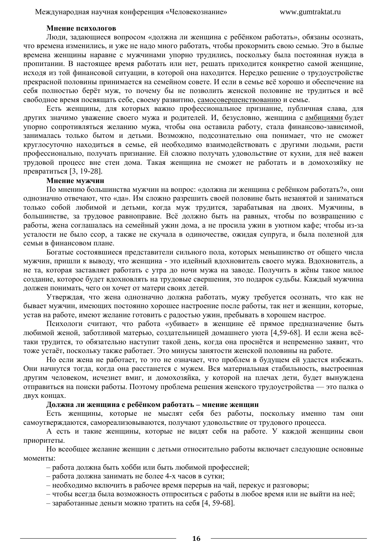### **Мнение психологов**

Люди, задающиеся вопросом «должна ли женщина с ребёнком работать», обязаны осознать, что времена изменились, и уже не надо много работать, чтобы прокормить свою семью. Это в былые времена женщины наравне с мужчинами упорно трудились, поскольку была постоянная нужда в пропитании. В настоящее время работать или нет, решать приходится конкретно самой женщине, исходя из той финансовой ситуации, в которой она находится. Нередко решение о трудоустройстве прекрасной половины принимается на семейном совете. И если в семье всё хорошо и обеспечение на себя полностью берёт муж, то почему бы не позволить женской половине не трудиться и всё свободное время посвящать себе, своему развитию, [самосовершенствованию](https://psihomed.com/samosovershenstvovanie/) и семье.

Есть женщины, для которых важно профессиональное признание, публичная слава, для других значимо уважение своего мужа и родителей. И, безусловно, женщина с [амбициями](https://psihomed.com/ambitsii/) будет упорно сопротивляться желанию мужа, чтобы она оставила работу, стала финансово-зависимой, занималась только бытом и детьми. Возможно, подсознательно она понимает, что не сможет круглосуточно находиться в семье, ей необходимо взаимодействовать с другими людьми, расти профессионально, получать признание. Ей сложно получать удовольствие от кухни, для неё важен трудовой процесс вне стен дома. Такая женщина не сможет не работать и в домохозяйку не превратиться [3, 19-28].

#### **Мнение мужчин**

По мнению большинства мужчин на вопрос: «должна ли женщина с ребёнком работать?», они однозначно отвечают, что «да». Им сложно разрешить своей половине быть незанятой и заниматься только собой любимой и детьми, когда муж трудится, зарабатывая на двоих. Мужчины, в большинстве, за трудовое равноправие. Всё должно быть на равных, чтобы по возвращению с работы, жена соглашалась на семейный ужин дома, а не просила ужин в уютном кафе; чтобы из-за усталости не было ссор, а также не скучала в одиночестве, ожидая супруга, и была полезной для семьи в финансовом плане.

Богатые состоявшиеся представители сильного пола, которых меньшинство от общего числа мужчин, пришли к выводу, что женщина - это идейный вдохновитель своего мужа. Вдохновитель, а не та, которая заставляет работать с утра до ночи мужа на заводе. Получить в жёны такое милое создание, которое будет вдохновлять на трудовые свершения, это подарок судьбы. Каждый мужчина должен понимать, чего он хочет от матери своих детей.

Утверждая, что жена однозначно должна работать, мужу требуется осознать, что как не бывает мужчин, имеющих постоянно хорошее настроение после работы, так нет и женщин, которые, устав на работе, имеют желание готовить с радостью ужин, пребывать в хорошем настрое.

Психологи считают, что работа «убивает» в женщине её прямое предназначение быть любимой женой, заботливой матерью, создательницей домашнего уюта [4,59-68]. И если жена всётаки трудится, то обязательно наступит такой день, когда она проснётся и непременно заявит, что тоже устаёт, поскольку также работает. Это минусы занятости женской половины на работе.

Но если жена не работает, то это не означает, что проблем в будущем ей удастся избежать. Они начнутся тогда, когда она расстанется с мужем. Вся материальная стабильность, выстроенная другим человеком, исчезнет вмиг, и домохозяйка, у которой на плечах дети, будет вынуждена отправиться на поиски работы. Поэтому проблема решения женского трудоустройства — это палка о двух концах.

#### **Должна ли женщина с ребёнком работать – мнение женщин**

Есть женщины, которые не мыслят себя без работы, поскольку именно там они самоутверждаются, самореализовываются, получают удовольствие от трудового процесса.

А есть и такие женщины, которые не видят себя на работе. У каждой женщины свои приоритеты.

Но всеобщее желание женщин с детьми относительно работы включает следующие основные моменты:

– работа должна быть хобби или быть любимой профессией;

– работа должна занимать не более 4-х часов в сутки;

– необходимо включить в рабочее время перерыв на чай, перекус и разговоры;

– чтобы всегда была возможность отпроситься с работы в любое время или не выйти на неё;

– заработанные деньги можно тратить на себя [4, 59-68].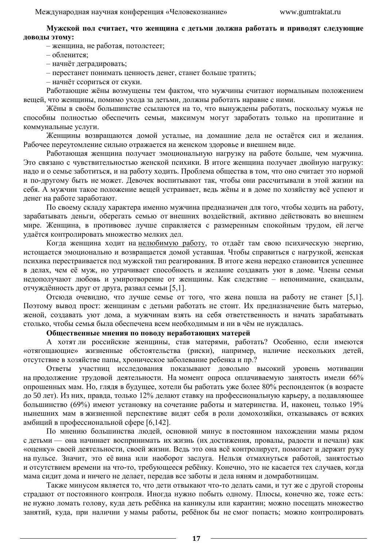**Мужской пол считает, что женщина с детьми должна работать и приводят следующие доводы этому:**

– женщина, не работая, потолстеет;

– обленится;

– начнёт деградировать;

– перестанет понимать ценность денег, станет больше тратить;

– начнёт ссориться от скуки.

Работающие жёны возмущены тем фактом, что мужчины считают нормальным положением вещей, что женщины, помимо ухода за детьми, должны работать наравне с ними.

Жёны в своём большинстве ссылаются на то, что вынуждены работать, поскольку мужья не способны полностью обеспечить семьи, максимум могут заработать только на пропитание и коммунальные услуги.

Женщины возвращаются домой усталые, на домашние дела не остаётся сил и желания. Рабочее переутомление сильно отражается на женском здоровье и внешнем виде.

Работающая женщина получает эмоциональную нагрузку на работе больше, чем мужчина. Это связано с чувствительностью женской психики. В итоге женщина получает двойную нагрузку: надо и о семье заботиться, и на работу ходить. Проблема общества в том, что оно считает это нормой и по-другому быть не может. Девочек воспитывают так, чтобы они рассчитывали в этой жизни на себя. А мужчин такое положение вещей устраивает, ведь жёны и в доме по хозяйству всё успеют и денег на работе заработают.

По своему складу характера именно мужчина предназначен для того, чтобы ходить на работу, зарабатывать деньги, оберегать семью от внешних воздействий, активно действовать во внешнем мире. Женщина, в противовес лучше справляется с размеренным спокойным трудом, ей легче удаётся контролировать множество мелких дел.

Когда женщина ходит на [нелюбимую работу,](https://psihomed.com/nelyubimaya-rabota/) то отдаёт там свою психическую энергию, истощается эмоционально и возвращается домой уставшая. Чтобы справиться с нагрузкой, женская психика перестраивается под мужской тип реагирования. В итоге жена нередко становится успешнее в делах, чем её муж, но утрачивает способность и желание создавать уют в доме. Члены семьи недополучают любовь и умиротворение от женщины. Как следствие – непонимание, скандалы, отчуждённость друг от друга, развал семьи [5,1].

Отсюда очевидно, что лучше семье от того, что жена пошла на работу не станет [5,1]. Поэтому вывод прост: женщинам с детьми работать не стоит. Их предназначение быть матерью, женой, создавать уют дома, а мужчинам взять на себя ответственность и начать зарабатывать столько, чтобы семья была обеспечена всем необходимым и ни в чём не нуждалась.

**Общественные мнения по поводу неработающих матерей**

А хотят ли российские женщины, став матерями, работать? Особенно, если имеются «отягощающие» жизненные обстоятельства (риски), например, наличие нескольких детей, отсутствие в хозяйстве папы, хроническое заболевание ребенка и пр.?

Ответы участниц исследования показывают довольно высокий уровень мотивации на продолжение трудовой деятельности. На момент опроса оплачиваемую занятость имели 66% опрошенных мам. Но, глядя в будущее, хотели бы работать уже более 80% респонденток (в возрасте до 50 лет). Из них, правда, только 12% делают ставку на профессиональную карьеру, а подавляющее большинство (69%) имеют установку на сочетание работы и материнства. И, наконец, только 19% нынешних мам в жизненной перспективе видят себя в роли домохозяйки, отказываясь от всяких амбиций в профессиональной сфере [6,142].

По мнению большинства людей, основной минус в постоянном нахождении мамы рядом с детьми — она начинает воспринимать их жизнь (их достижения, провалы, радости и печали) как «оценку» своей деятельности, своей жизни. Ведь это она всё контролирует, помогает и держит руку на пульсе. Значит, это её вина или наоборот заслуга. Нельзя отмахнуться работой, занятостью и отсутствием времени на что-то, требующееся ребёнку. Конечно, это не касается тех случаев, когда мама сидит дома и ничего не делает, передав все заботы и дела няням и домработницам.

Также минусом является то, что дети отвыкают что-то делать сами, и тут же с другой стороны страдают от постоянного контроля. Иногда нужно побыть одному. Плюсы, конечно же, тоже есть: не нужно ломать голову, куда деть ребёнка на каникулы или карантин; можно посещать множество занятий, куда, при наличии у мамы работы, ребёнок бы не смог попасть; можно контролировать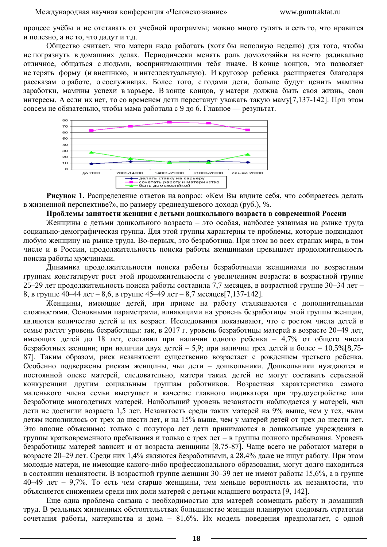процесс учёбы и не отставать от учебной программы; можно много гулять и есть то, что нравится и полезно, а не то, что дадут и т.д.

Общество считает, что матери надо работать (хотя бы неполную неделю) для того, чтобы не погрязнуть в домашних делах. Периодически менять роль домохозяйки на нечто радикально отличное, общаться с людьми, воспринимающими тебя иначе. В конце концов, это позволяет не терять форму (и внешнюю, и интеллектуальную). И кругозор ребенка расширяется благодаря рассказам о работе, о сослуживцах. Более того, с годами дети, больше будут ценить мамины заработки, мамины успехи в карьере. В конце концов, у матери должна быть своя жизнь, свои интересы. А если их нет, то со временем дети перестанут уважать такую маму[7,137-142]. При этом совсем не обязательно, чтобы мама работала с 9 до 6. Главное — результат.



**Рисунок 1.** Распределение ответов на вопрос: «Кем Вы видите себя, что собираетесь делать в жизненной перспективе?», по размеру среднедушевого дохода (руб.), %.

#### **Проблемы занятости женщин с детьми дошкольного возраста в современной России**

Женщины с детьми дошкольного возраста – это особая, наиболее уязвимая на рынке труда социально-демографическая группа. Для этой группы характерны те проблемы, которые поджидают любую женщину на рынке труда. Во-первых, это безработица. При этом во всех странах мира, в том числе и в России, продолжительность поиска работы женщинами превышает продолжительность поиска работы мужчинами.

Динамика продолжительности поиска работы безработными женщинами по возрастным группам констатирует рост этой продолжительности с увеличением возраста: в возрастной группе 25–29 лет продолжительность поиска работы составила 7,7 месяцев, в возрастной группе 30–34 лет – 8, в группе 40–44 лет – 8,6, в группе 45–49 лет – 8,7 месяцев[7,137-142].

Женщины, имеющие детей, при приеме на работу сталкиваются с дополнительными сложностями. Основными параметрами, влияющими на уровень безработицы этой группы женщин, являются количество детей и их возраст. Исследования показывают, что с ростом числа детей в семье растет уровень безработицы: так, в 2017 г. уровень безработицы матерей в возрасте 20–49 лет, имеющих детей до 18 лет, составил при наличии одного ребенка – 4,7% от общего числа безработных женщин; при наличии двух детей – 5,9; при наличии трех детей и более – 10,5%[8,75- 87]. Таким образом, риск незанятости существенно возрастает с рождением третьего ребенка. Особенно подвержены рискам женщины, чьи дети – дошкольники. Дошкольники нуждаются в постоянной опеке матерей, следовательно, матери таких детей не могут составить серьезной конкуренции другим социальным группам работников. Возрастная характеристика самого маленького члена семьи выступает в качестве главного индикатора при трудоустройстве или безработице многодетных матерей. Наибольший уровень незанятости наблюдается у матерей, чьи дети не достигли возраста 1,5 лет. Незанятость среди таких матерей на 9% выше, чем у тех, чьим детям исполнилось от трех до шести лет, и на 15% выше, чем у матерей детей от трех до шести лет. Это вполне объяснимо: только с полутора лет дети принимаются в дошкольные учреждения в группы кратковременного пребывания и только с трех лет – в группы полного пребывания. Уровень безработицы матерей зависит и от возраста женщины [8,75-87]. Чаще всего не работают матери в возрасте 20–29 лет. Среди них 1,4% являются безработными, а 28,4% даже не ищут работу. При этом молодые матери, не имеющие какого-либо профессионального образования, могут долго находиться в состоянии незанятости. В возрастной группе женщин 30–39 лет не имеют работы 15,6%, а в группе 40–49 лет – 9,7%. То есть чем старше женщины, тем меньше вероятность их незанятости, что объясняется снижением среди них доли матерей с детьми младшего возраста [9, 142].

Еще одна проблема связана с необходимостью для матерей совмещать работу и домашний труд. В реальных жизненных обстоятельствах большинство женщин планируют следовать стратегии сочетания работы, материнства и дома – 81,6%. Их модель поведения предполагает, с одной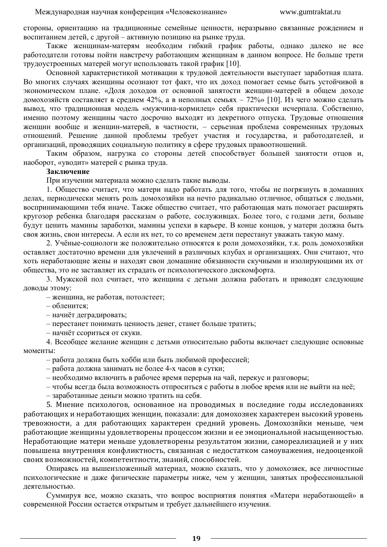стороны, ориентацию на традиционные семейные ценности, неразрывно связанные рождением и воспитанием детей, с другой – активную позицию на рынке труда.

Также женщинам-матерям необходим гибкий график работы, однако далеко не все работодатели готовы пойти навстречу работающим женщинам в данном вопросе. Не больше трети трудоустроенных матерей могут использовать такой график [10].

Основной характеристикой мотивации к трудовой деятельности выступает заработная плата. Во многих случаях женщины осознают тот факт, что их доход помогает семье быть устойчивой в экономическом плане. «Доля доходов от основной занятости женщин-матерей в общем доходе домохозяйств составляет в среднем 42%, а в неполных семьях – 72% [10]. Из чего можно сделать вывод, что традиционная модель «мужчина-кормилец» себя практически исчерпала. Собственно, именно поэтому женщины часто досрочно выходят из декретного отпуска. Трудовые отношения женщин вообще и женщин-матерей, в частности, – серьезная проблема современных трудовых отношений. Решение данной проблемы требует участия и государства, и работодателей, и организаций, проводящих социальную политику в сфере трудовых правоотношений.

Таким образом, нагрузка со стороны детей способствует большей занятости отцов и, наоборот, «уводит» матерей с рынка труда.

#### **Заключение**

При изучении материала можно сделать такие выводы.

1. Общество считает, что матери надо работать для того, чтобы не погрязнуть в домашних делах, периодически менять роль домохозяйки на нечто радикально отличное, общаться с людьми, воспринимающими тебя иначе. Также общество считает, что работающая мать помогает расширять кругозор ребенка благодаря рассказам о работе, сослуживцах. Более того, с годами дети, больше будут ценить мамины заработки, мамины успехи в карьере. В конце концов, у матери должна быть своя жизнь, свои интересы. А если их нет, то со временем дети перестанут уважать такую маму.

2. Учёные-социологи же положительно относятся к роли домохозяйки, т.к. роль домохозяйки оставляет достаточно времени для увлечений в различных клубах и организациях. Они считают, что хоть неработающие жены и находят свои домашние обязанности скучными и изолирующими их от общества, это не заставляет их страдать от психологического дискомфорта.

3. Мужской пол считает, что женщина с детьми должна работать и приводят следующие доводы этому:

– женщина, не работая, потолстеет;

– обленится;

– начнёт деградировать;

– перестанет понимать ценность денег, станет больше тратить;

– начнёт ссориться от скуки.

4. Всеобщее желание женщин с детьми относительно работы включает следующие основные моменты:

- работа должна быть хобби или быть любимой профессией;
- работа должна занимать не более 4-х часов в сутки;
- необходимо включить в рабочее время перерыв на чай, перекус и разговоры;
- чтобы всегда была возможность отпроситься с работы в любое время или не выйти на неё;

– заработанные деньги можно тратить на себя.

5. Мнение психологов, основанное на проводимых в последние годы исследованиях работающих и неработающих женщин, показали: для домохозяек характерен высокий уровень тревожности, а для работающих характерен средний уровень. Домохозяйки меньше, чем работающие женщины удовлетворены процессом жизни и ее эмоциональной насыщенностью. Неработающие матери меньше удовлетворены результатом жизни, самореализацией и у них повышена внутренняя конфликтность, связанная с недостатком самоуважения, недооценкой своих возможностей, компетентности, знаний, способностей.

Опираясь на вышеизложенный материал, можно сказать, что у домохозяек, все личностные психологические и даже физические параметры ниже, чем у женщин, занятых профессиональной деятельностью.

Суммируя все, можно сказать, что вопрос восприятия понятия «Матери неработающей» в современной России остается открытым и требует дальнейшего изучения.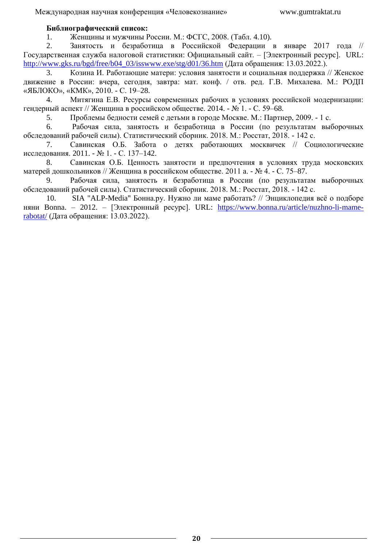## **Библиографический список:**

1. Женщины и мужчины России. М.: ФСГС, 2008. (Табл. 4.10).

2. Занятость и безработица в Российской Федерации в январе 2017 года // Государственная служба налоговой статистики: Официальный сайт. – [Электронный ресурс]. URL: [http://www.gks.ru/bgd/free/b04\\_03/isswww.exe/stg/d01/36.htm](http://www.gks.ru/bgd/free/b04_03/isswww.exe/stg/d01/36.htm) (Дата обращения: 13.03.2022.).

3. Козина И. Работающие матери: условия занятости и социальная поддержка // Женское движение в России: вчера, сегодня, завтра: мат. конф. / отв. ред. Г.В. Михалева. М.: РОДП «ЯБЛОКО», «КМК», 2010. - С. 19–28.

4. Митягина Е.В. Ресурсы современных рабочих в условиях российской модернизации: гендерный аспект // Женщина в российском обществе. 2014. - № 1. - С. 59–68.

5. Проблемы бедности семей с детьми в городе Москве. М.: Партнер, 2009. - 1 с.

6. Рабочая сила, занятость и безработица в России (по результатам выборочных обследований рабочей силы). Статистический сборник. 2018. M.: Росстат, 2018. - 142 с.

7. Савинская О.Б. Забота о детях работающих москвичек // Социологические исследования. 2011. - № 1. - С. 137–142.

8. Савинская О.Б. Ценность занятости и предпочтения в условиях труда московских матерей дошкольников // Женщина в российском обществе. 2011 а. - № 4. - С. 75–87.

9. Рабочая сила, занятость и безработица в России (по результатам выборочных обследований рабочей силы). Статистический сборник. 2018. M.: Росстат, 2018. - 142 с.

10. SIA "ALP-Media" Бонна.ру. Нужно ли маме работать? // Энциклопедия всё о подборе няни Bonna. – 2012. – [Электронный ресурс]. URL: [https://www.bonna.ru/article/nuzhno-li-mame](https://www.bonna.ru/article/nuzhno-li-mame-rabotat/)[rabotat/](https://www.bonna.ru/article/nuzhno-li-mame-rabotat/) (Дата обращения: 13.03.2022).